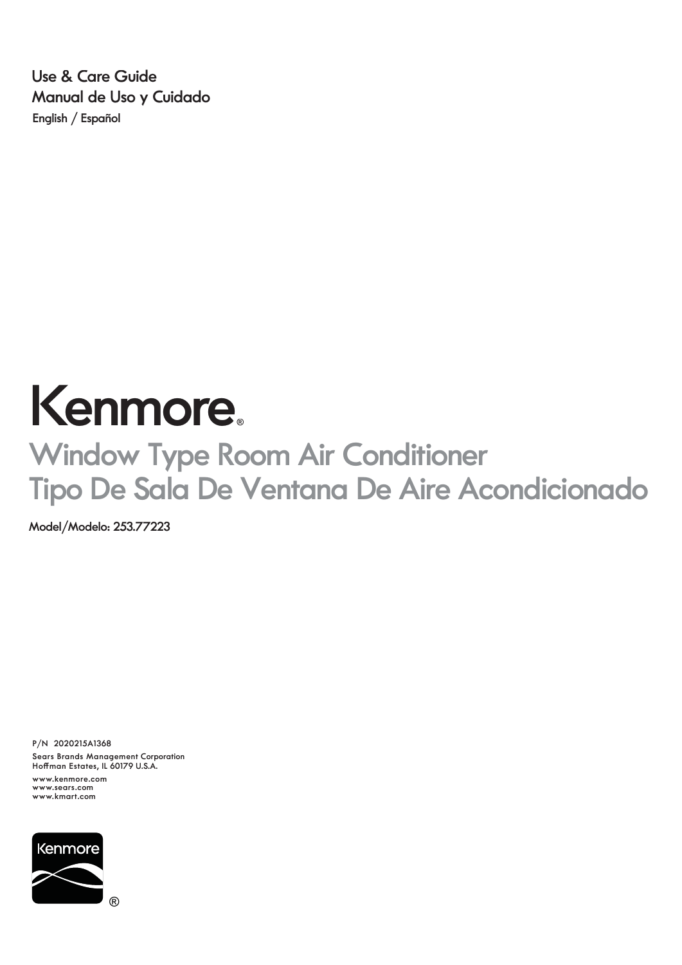**English / Español Use & Care Guide Manual de Uso y Cuidado**

# Kenmore.

## **Window Type Room Air Conditioner Tipo De Sala De Ventana De Aire Acondicionado**

**Model/Modelo: 253.77223**

**P/N 2020215A1368**

**Sears Brands Management Corporation Hoffman Estates, IL 60179 U.S.A.**

**www.kenmore.com www.sears.com www.kmart.com**

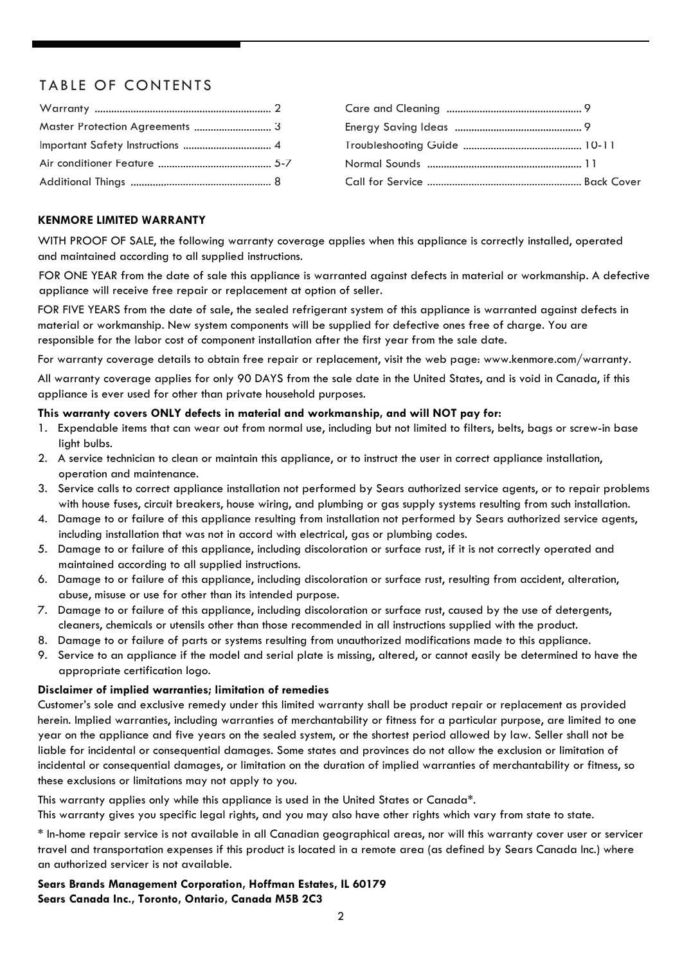#### TABLE OF CONTENTS

| Master Protection Agreements  3 |  |
|---------------------------------|--|
|                                 |  |
|                                 |  |
|                                 |  |

#### **KENMORE LIMITED WARRANTY**

WITH PROOF OF SALE, the following warranty coverage applies when this appliance is correctly installed, operated and maintained according to all supplied instructions.

FOR ONE YEAR from the date of sale this appliance is warranted against defects in material or workmanship. A defective appliance will receive free repair or replacement at option of seller.

FOR FIVE YEARS from the date of sale, the sealed refrigerant system of this appliance is warranted against defects in material or workmanship. New system components will be supplied for defective ones free of charge. You are responsible for the labor cost of component installation after the first year from the sale date.

For warranty coverage details to obtain free repair or replacement, visit the web page: www.kenmore.com/warranty.

All warranty coverage applies for only 90 DAYS from the sale date in the United States, and is void in Canada, if this appliance is ever used for other than private household purposes.

#### **This warranty covers ONLY defects in material and workmanship, and will NOT pay for:**

- 1. Expendable items that can wear out from normal use, including but not limited to filters, belts, bags or screw-in base light bulbs.
- 2. A service technician to clean or maintain this appliance, or to instruct the user in correct appliance installation, operation and maintenance.
- 3. Service calls to correct appliance installation not performed by Sears authorized service agents, or to repair problems with house fuses, circuit breakers, house wiring, and plumbing or gas supply systems resulting from such installation.
- 4. Damage to or failure of this appliance resulting from installation not performed by Sears authorized service agents, including installation that was not in accord with electrical, gas or plumbing codes.
- 5. Damage to or failure of this appliance, including discoloration or surface rust, if it is not correctly operated and maintained according to all supplied instructions.
- 6. Damage to or failure of this appliance, including discoloration or surface rust, resulting from accident, alteration, abuse, misuse or use for other than its intended purpose.
- 7. Damage to or failure of this appliance, including discoloration or surface rust, caused by the use of detergents, cleaners, chemicals or utensils other than those recommended in all instructions supplied with the product.
- 8. Damage to or failure of parts or systems resulting from unauthorized modifications made to this appliance.
- 9. Service to an appliance if the model and serial plate is missing, altered, or cannot easily be determined to have the appropriate certification logo.

#### **Disclaimer of implied warranties; limitation of remedies**

Customer's sole and exclusive remedy under this limited warranty shall be product repair or replacement as provided herein. Implied warranties, including warranties of merchantability or fitness for a particular purpose, are limited to one year on the appliance and five years on the sealed system, or the shortest period allowed by law. Seller shall not be liable for incidental or consequential damages. Some states and provinces do not allow the exclusion or limitation of incidental or consequential damages, or limitation on the duration of implied warranties of merchantability or fitness, so these exclusions or limitations may not apply to you.

This warranty applies only while this appliance is used in the United States or Canada\*.

This warranty gives you specific legal rights, and you may also have other rights which vary from state to state.

\* In-home repair service is not available in all Canadian geographical areas, nor will this warranty cover user or servicer travel and transportation expenses if this product is located in a remote area (as defined by Sears Canada Inc.) where an authorized servicer is not available.

#### **Sears Brands Management Corporation, Hoffman Estates, IL 60179 Sears Canada Inc., Toronto, Ontario, Canada M5B 2C3**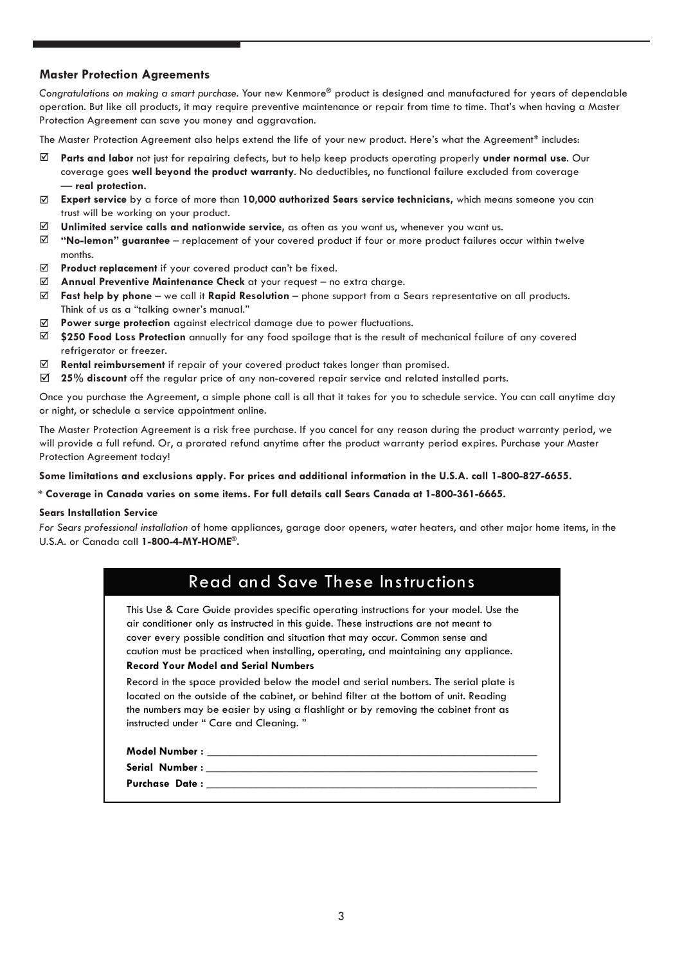#### **Master Protection Agreements**

*Congratulations on making a smart purchase.* Your new Kenmore**®** product is designed and manufactured for years of dependable operation. But like all products, it may require preventive maintenance or repair from time to time. That's when having a Master Protection Agreement can save you money and aggravation.

The Master Protection Agreement also helps extend the life of your new product. Here's what the Agreement\* includes:

- ☑ **Parts and labor** not just for repairing defects, but to help keep products operating properly **under normal use**. Our coverage goes **well beyond the product warranty**. No deductibles, no functional failure excluded from coverage — **real protection.**
- **Expert service** by a force of more than **10,000 authorized Sears service technicians,** which means someone you can ☑ trust will be working on your product.
- ⊠ **Unlimited service calls and nationwide service,** as often as you want us, whenever you want us.
- ☑ **"No-lemon" guarantee** – replacement of your covered product if four or more product failures occur within twelve months.
- $\triangledown$ **Product replacement** if your covered product can't be fixed.
- ☑ **Annual Preventive Maintenance Check** at your request – no extra charge.
- **Fast help by phone** we call it **Rapid Resolution** phone support from a Sears representative on all products. ☑ Think of us as a "talking owner's manual."
- $\triangledown$ Power surge protection against electrical damage due to power fluctuations.
- ⊠ **\$250 Food Loss Protection** annually for any food spoilage that is the result of mechanical failure of any covered refrigerator or freezer.
- ⊠ **Rental reimbursement** if repair of your covered product takes longer than promised.
- **25% discount** off the regular price of any non-covered repair service and related installed parts.⊠

Once you purchase the Agreement, a simple phone call is all that it takes for you to schedule service. You can call anytime day or night, or schedule a service appointment online.

The Master Protection Agreement is a risk free purchase. If you cancel for any reason during the product warranty period, we will provide a full refund. Or, a prorated refund anytime after the product warranty period expires. Purchase your Master Protection Agreement today!

**Some limitations and exclusions apply. For prices and additional information in the U.S.A. call 1-800-827-6655.**

#### **\* Coverage in Canada varies on some items. For full details call Sears Canada at 1-800-361-6665.**

#### **Sears Installation Service**

*For Sears professional installation* of home appliances, garage door openers, water heaters, and other major home items, in the U.S.A. or Canada call **1-800-4-MY-HOME®.**

| <b>Read and Save These Instructions</b>                                                                                                                                                                                                                                                                                                                                                                 |  |  |
|---------------------------------------------------------------------------------------------------------------------------------------------------------------------------------------------------------------------------------------------------------------------------------------------------------------------------------------------------------------------------------------------------------|--|--|
| This Use & Care Guide provides specific operating instructions for your model. Use the<br>air conditioner only as instructed in this quide. These instructions are not meant to<br>cover every possible condition and situation that may occur. Common sense and<br>caution must be practiced when installing, operating, and maintaining any appliance.<br><b>Record Your Model and Serial Numbers</b> |  |  |
| Record in the space provided below the model and serial numbers. The serial plate is<br>located on the outside of the cabinet, or behind filter at the bottom of unit. Reading<br>the numbers may be easier by using a flashlight or by removing the cabinet front as<br>instructed under "Care and Cleaning."                                                                                          |  |  |
| Model Number : with a state of the state of the state of the state of the state of the state of the state of the state of the state of the state of the state of the state of the state of the state of the state of the state                                                                                                                                                                          |  |  |
|                                                                                                                                                                                                                                                                                                                                                                                                         |  |  |
|                                                                                                                                                                                                                                                                                                                                                                                                         |  |  |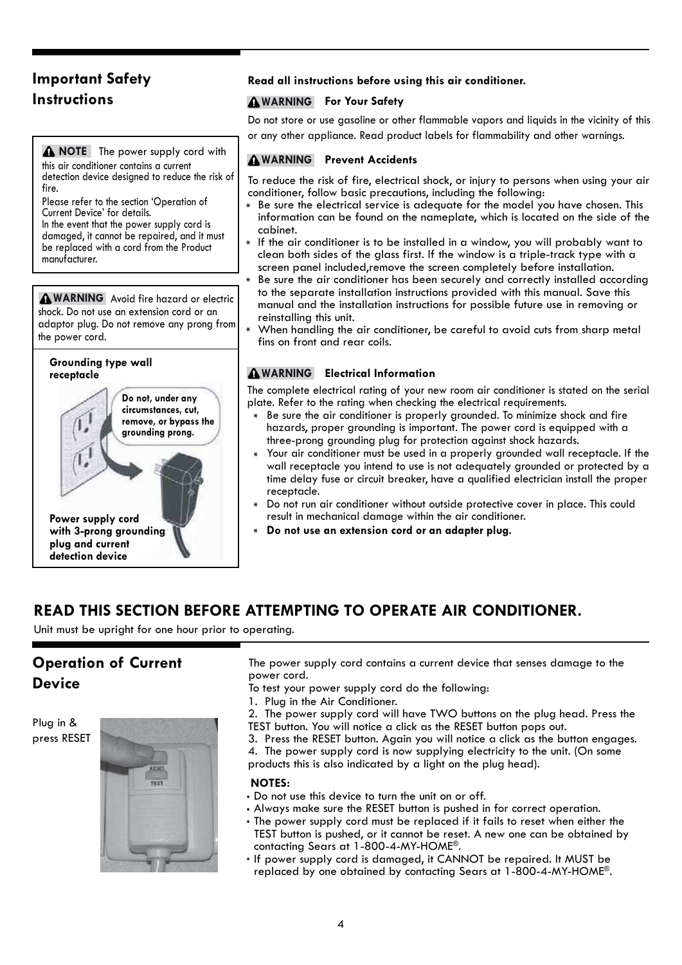#### **Important Safety Instructions**

**NOTE** The power supply cord with this air conditioner contains a current detection device designed to reduce the risk of fire.

Please refer to the section 'Operation of Current Device' for details.

In the event that the power supply cord is damaged, it cannot be repaired, and it must be replaced with a cord from the Product manufacturer.

**AWARNING** Avoid fire hazard or electric shock. Do not use an extension cord or an adaptor plug. Do not remove any prong from the power cord.



#### **Read all instructions before using this air conditioner.**

#### **WARNING For Your Safety**

Do not store or use gasoline or other flammable vapors and liquids in the vicinity of this or any other appliance. Read product labels for flammability and other warnings.

#### **Prevent Accidents WARNING**

To reduce the risk of fire, electrical shock, or injury to persons when using your air conditioner, follow basic precautions, including the following:

- Be sure the electrical service is adequate for the model you have chosen. This information can be found on the nameplate, which is located on the side of the cabinet.
- If the air conditioner is to be installed in a window, you will probably want to clean both sides of the glass first. If the window is a triple-track type with a screen panel included,remove the screen completely before installation.
- Be sure the air conditioner has been securely and correctly installed according to the separate installation instructions provided with this manual. Save this manual and the installation instructions for possible future use in removing or reinstalling this unit.
- When handling the air conditioner, be careful to avoid cuts from sharp metal fins on front and rear coils.

#### **Electrical Information WARNING**

The complete electrical rating of your new room air conditioner is stated on the serial plate. Refer to the rating when checking the electrical requirements.

- Be sure the air conditioner is properly grounded. To minimize shock and fire hazards, proper grounding is important. The power cord is equipped with a three-prong grounding plug for protection against shock hazards.
- Your air conditioner must be used in a properly grounded wall receptacle. If the wall receptacle you intend to use is not adequately grounded or protected by a time delay fuse or circuit breaker, have a qualified electrician install the proper receptacle.
- Do not run air conditioner without outside protective cover in place. This could result in mechanical damage within the air conditioner.
- **Do not use an extension cord or an adapter plug.**

#### **READ THIS SECTION BEFORE ATTEMPTING TO OPERATE AIR CONDITIONER.**

Unit must be upright for one hour prior to operating.

#### **Operation of Current Device**

Plug in & press RESET



The power supply cord contains a current device that senses damage to the power cord.

- To test your power supply cord do the following:
- 1. Plug in the Air Conditioner.
- 2. The power supply cord will have TWO buttons on the plug head. Press the TEST button. You will notice a click as the RESET button pops out.
- 3. Press the RESET button. Again you will notice a click as the button engages.
- 4. The power supply cord is now supplying electricity to the unit. (On some
- products this is also indicated by a light on the plug head).

#### **NOTES:**

- Do not use this device to turn the unit on or off.
- Always make sure the RESET button is pushed in for correct operation.
- The power supply cord must be replaced if it fails to reset when either the TEST button is pushed, or it cannot be reset. A new one can be obtained by contacting Sears at 1-800-4-MY-HOME®.
- . If power supply cord is damaged, it CANNOT be repaired. It MUST be replaced by one obtained by contacting Sears at 1-800-4-MY-HOME®.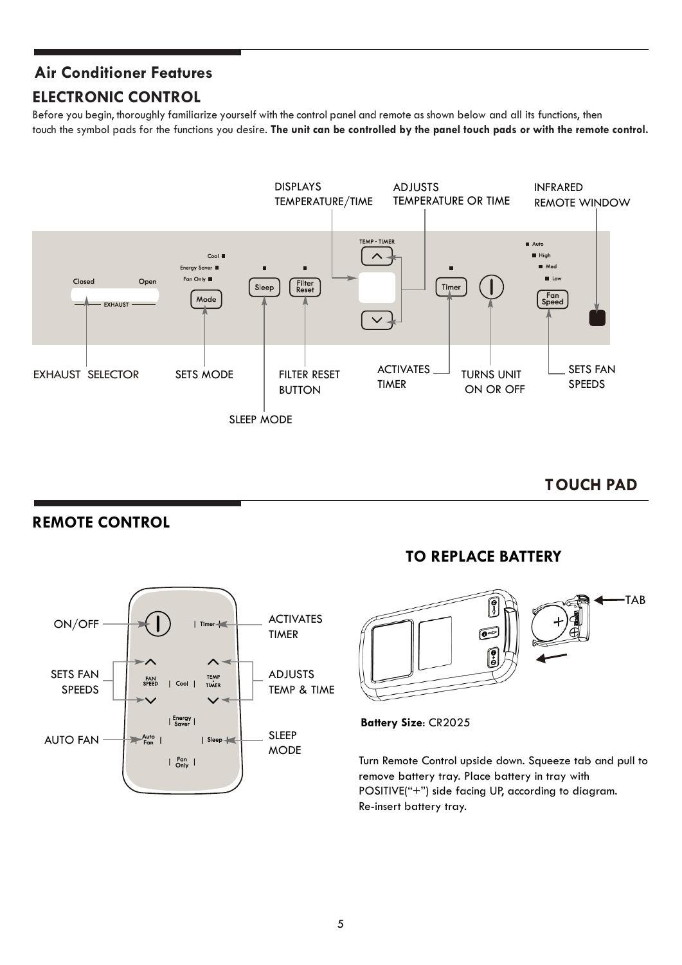#### **ELECTRONIC CONTROL Air Conditioner Features**

Before you begin, thoroughly familiarize yourself with the control panel and remote as shown below and all its functions, then touch the symbol pads for the functions you desire. **The unit can be controlled by the panel touch pads or with the remote control.**



**TOUCH PAD**

#### **REMOTE CONTROL**



#### **TO REPLACE BATTERY**



**Battery Size**: CR2025

Turn Remote Control upside down. Squeeze tab and pull to remove battery tray. Place battery in tray with POSITIVE("+") side facing UP, according to diagram. Re-insert battery tray.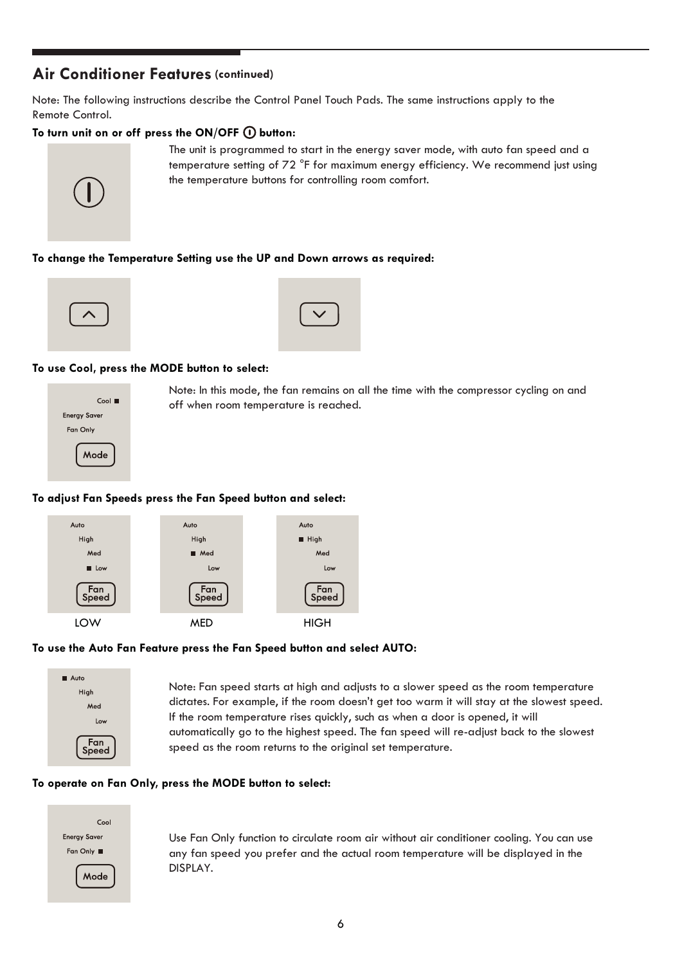#### **Air Conditioner Features (continued)**

Note: The following instructions describe the Control Panel Touch Pads. The same instructions apply to the Remote Control.

#### To turn unit on or off press the ON/OFF  $\textcircled{\textsc{I}}}$  button:



The unit is programmed to start in the energy saver mode, with auto fan speed and a temperature setting of 72 °F for maximum energy efficiency. We recommend just using the temperature buttons for controlling room comfort.

#### **To change the Temperature Setting use the UP and Down arrows as required:**





#### **To use Cool, press the MODE button to select:**



Note: In this mode, the fan remains on all the time with the compressor cycling on and off when room temperature is reached.

#### **To adjust Fan Speeds press the Fan Speed button and select:**



#### **To use the Auto Fan Feature press the Fan Speed button and select AUTO:**



Note: Fan speed starts at high and adjusts to a slower speed as the room temperature dictates. For example, if the room doesn't get too warm it will stay at the slowest speed. If the room temperature rises quickly, such as when a door is opened, it will automatically go to the highest speed. The fan speed will re-adjust back to the slowest speed as the room returns to the original set temperature.

#### **To operate on Fan Only, press the MODE button to select:**



Use Fan Only function to circulate room air without air conditioner cooling. You can use any fan speed you prefer and the actual room temperature will be displayed in the DISPLAY.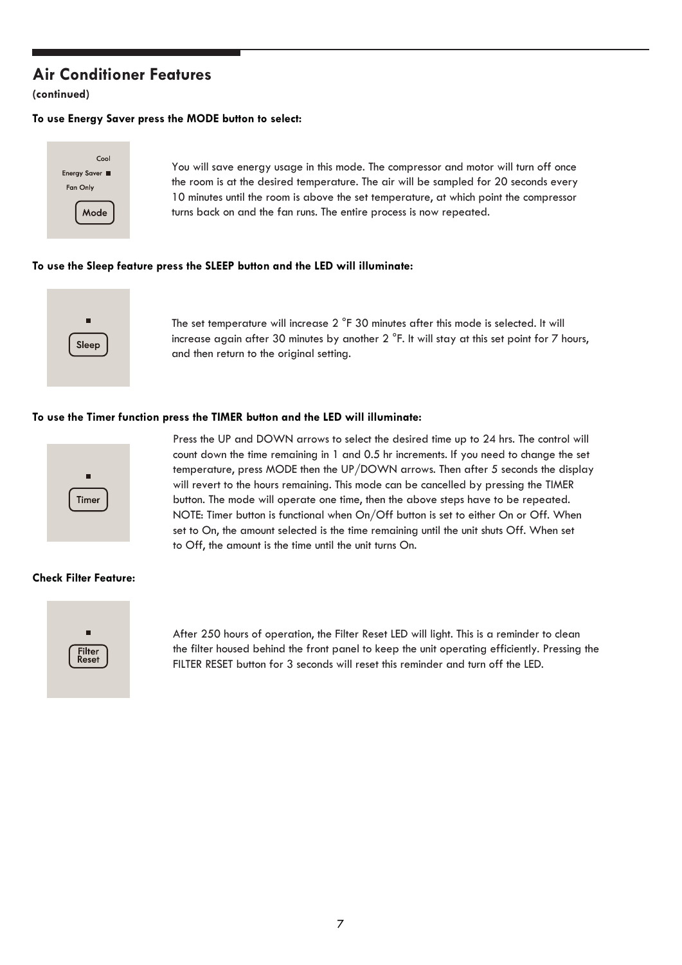#### **Air Conditioner Features**

**(continued)**

#### **To use Energy Saver press the MODE button to select:**



You will save energy usage in this mode. The compressor and motor will turn off once the room is at the desired temperature. The air will be sampled for 20 seconds every 10 minutes until the room is above the set temperature, at which point the compressor turns back on and the fan runs. The entire process is now repeated.

#### **To use the Sleep feature press the SLEEP button and the LED will illuminate:**



The set temperature will increase 2 °F 30 minutes after this mode is selected. It will increase again after 30 minutes by another 2 °F. It will stay at this set point for 7 hours, and then return to the original setting.

#### **To use the Timer function press the TIMER button and the LED will illuminate:**



Press the UP and DOWN arrows to select the desired time up to 24 hrs. The control will count down the time remaining in 1 and 0.5 hr increments. If you need to change the set temperature, press MODE then the UP/DOWN arrows. Then after 5 seconds the display will revert to the hours remaining. This mode can be cancelled by pressing the TIMER button. The mode will operate one time, then the above steps have to be repeated. NOTE: Timer button is functional when On/Off button is set to either On or Off. When set to On, the amount selected is the time remaining until the unit shuts Off. When set to Off, the amount is the time until the unit turns On.

#### **Check Filter Feature:**



After 250 hours of operation, the Filter Reset LED will light. This is a reminder to clean the filter housed behind the front panel to keep the unit operating efficiently. Pressing the FILTER RESET button for 3 seconds will reset this reminder and turn off the LED.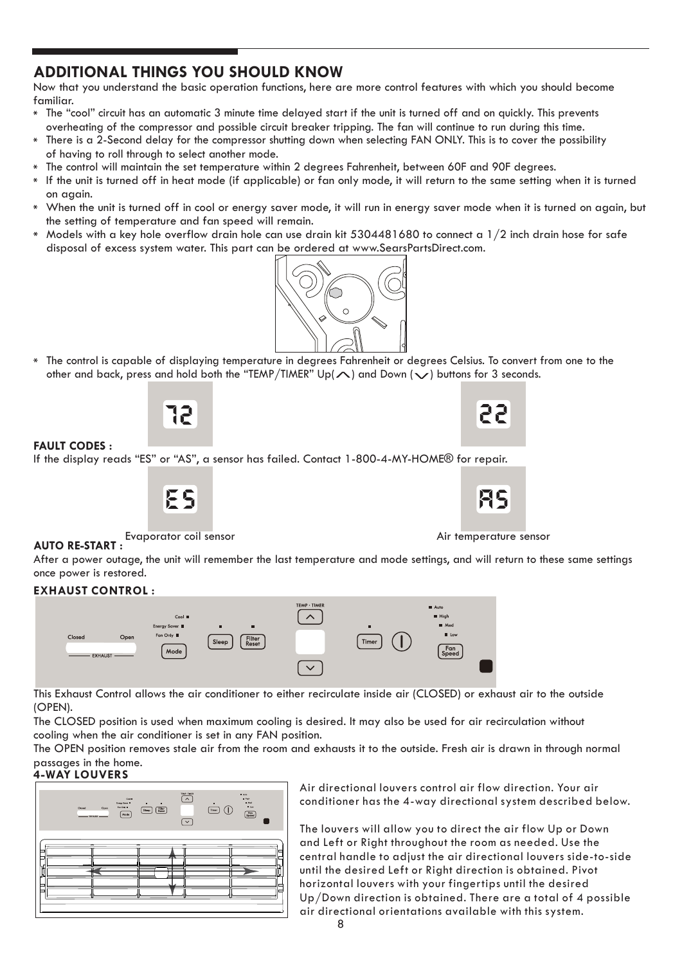#### **ADDITIONAL THINGS YOU SHOULD KNOW**

Now that you understand the basic operation functions, here are more control features with which you should become familiar.

- The "cool" circuit has an automatic 3 minute time delayed start if the unit is turned off and on quickly. This prevents overheating of the compressor and possible circuit breaker tripping. The fan will continue to run during this time.
- There is a 2-Second delay for the compressor shutting down when selecting FAN ONLY. This is to cover the possibility  $\ast$ of having to roll through to select another mode.
- The control will maintain the set temperature within 2 degrees Fahrenheit, between 60F and 90F degrees.
- If the unit is turned off in heat mode (if applicable) or fan only mode, it will return to the same setting when it is turned on again.
- When the unit is turned off in cool or energy saver mode, it will run in energy saver mode when it is turned on again, but  $\ast$ the setting of temperature and fan speed will remain.
- $*$  Models with a key hole overflow drain hole can use drain kit 5304481680 to connect a 1/2 inch drain hose for safe disposal of excess system water. This part can be ordered at www.SearsPartsDirect.com.



The control is capable of displaying temperature in degrees Fahrenheit or degrees Celsius. To convert from one to the other and back, press and hold both the "TEMP/TIMER" Up( $\wedge$ ) and Down ( $\vee$ ) buttons for 3 seconds.

12



#### **FAULT CODES :**

If the display reads "ES" or "AS", a sensor has failed. Contact 1-800-4-MY-HOME® for repair.

$$
\mathbf{E}\mathbf{S}
$$



Evaporator coil sensor Air temperature sensor

#### **AUTO RE-START :**

After a power outage, the unit will remember the last temperature and mode settings, and will return to these same settings once power is restored.

#### **EXHAUST CONTROL :**



This Exhaust Control allows the air conditioner to either recirculate inside air (CLOSED) or exhaust air to the outside (OPEN).

The CLOSED position is used when maximum cooling is desired. It may also be used for air recirculation without cooling when the air conditioner is set in any FAN position.

The OPEN position removes stale air from the room and exhausts it to the outside. Fresh air is drawn in through normal passages in the home.

#### **4-WAY LOUVERS**



Air directional louvers control air flow direction. Your air conditioner has the 4-way directional system described below.

The louvers will allow you to direct the air flow Up or Down and Left or Right throughout the room as needed. Use the central handle to adjust the air directional louvers side-to-side until the desired Left or Right direction is obtained. Pivot horizontal louvers with your fingertips until the desired Up/Down direction is obtained. There are a total of 4 possible air directional orientations available with this system.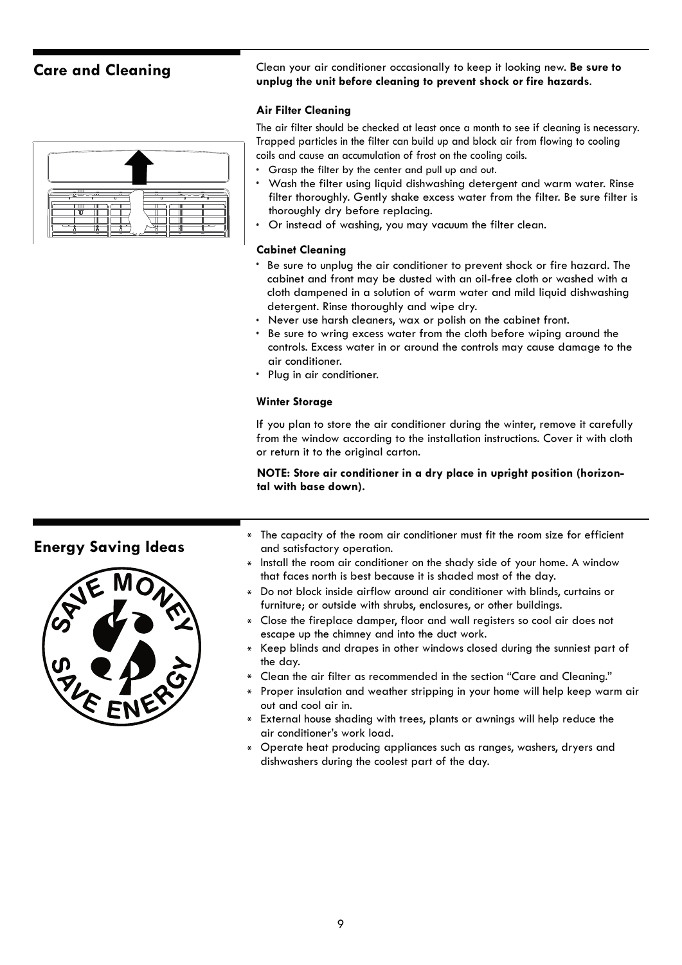| ____                                         | $\frac{1}{2} \left( \frac{1}{2} \right) \left( \frac{1}{2} \right) \left( \frac{1}{2} \right) \left( \frac{1}{2} \right) \left( \frac{1}{2} \right) \left( \frac{1}{2} \right) \left( \frac{1}{2} \right) \left( \frac{1}{2} \right) \left( \frac{1}{2} \right) \left( \frac{1}{2} \right) \left( \frac{1}{2} \right) \left( \frac{1}{2} \right) \left( \frac{1}{2} \right) \left( \frac{1}{2} \right) \left( \frac{1}{2} \right) \left( \frac{1}{2} \right) \left( \frac$ |
|----------------------------------------------|----------------------------------------------------------------------------------------------------------------------------------------------------------------------------------------------------------------------------------------------------------------------------------------------------------------------------------------------------------------------------------------------------------------------------------------------------------------------------|
| ╥╖<br>-<br><b>TELESCO</b><br><b>TTT</b><br>m | -<br>—<br>÷<br>$-\infty$<br>Ш<br>ᡣ᠇                                                                                                                                                                                                                                                                                                                                                                                                                                        |

**Care and Cleaning** Clean your air conditioner occasionally to keep it looking new. **Be sure to unplug the unit before cleaning to prevent shock or fire hazards**.

#### **Air Filter Cleaning**

The air filter should be checked at least once a month to see if cleaning is necessary. Trapped particles in the filter can build up and block air from flowing to cooling coils and cause an accumulation of frost on the cooling coils.

- Grasp the filter by the center and pull up and out.
- Wash the filter using liquid dishwashing detergent and warm water. Rinse filter thoroughly. Gently shake excess water from the filter. Be sure filter is thoroughly dry before replacing.
- Or instead of washing, you may vacuum the filter clean.

#### **Cabinet Cleaning**

- Be sure to unplug the air conditioner to prevent shock or fire hazard. The cabinet and front may be dusted with an oil-free cloth or washed with a cloth dampened in a solution of warm water and mild liquid dishwashing detergent. Rinse thoroughly and wipe dry.
- Never use harsh cleaners, wax or polish on the cabinet front.
- Be sure to wring excess water from the cloth before wiping around the controls. Excess water in or around the controls may cause damage to the air conditioner.
- Plug in air conditioner.

#### **Winter Storage**

If you plan to store the air conditioner during the winter, remove it carefully from the window according to the installation instructions. Cover it with cloth or return it to the original carton.

**NOTE: Store air conditioner in a dry place in upright position (horizontal with base down).**



- **Energy Saving Ideas** The capacity of the room air conditioner must fit the room size for efficient and satisfactory operation.
	- Install the room air conditioner on the shady side of your home. A window that faces north is best because it is shaded most of the day.
	- Do not block inside airflow around air conditioner with blinds, curtains or furniture; or outside with shrubs, enclosures, or other buildings.
	- Close the fireplace damper, floor and wall registers so cool air does not escape up the chimney and into the duct work.
	- Keep blinds and drapes in other windows closed during the sunniest part of the day.
	- Clean the air filter as recommended in the section "Care and Cleaning."
	- Proper insulation and weather stripping in your home will help keep warm air out and cool air in.
	- External house shading with trees, plants or awnings will help reduce the  $\ast$ air conditioner's work load.
	- Operate heat producing appliances such as ranges, washers, dryers and dishwashers during the coolest part of the day.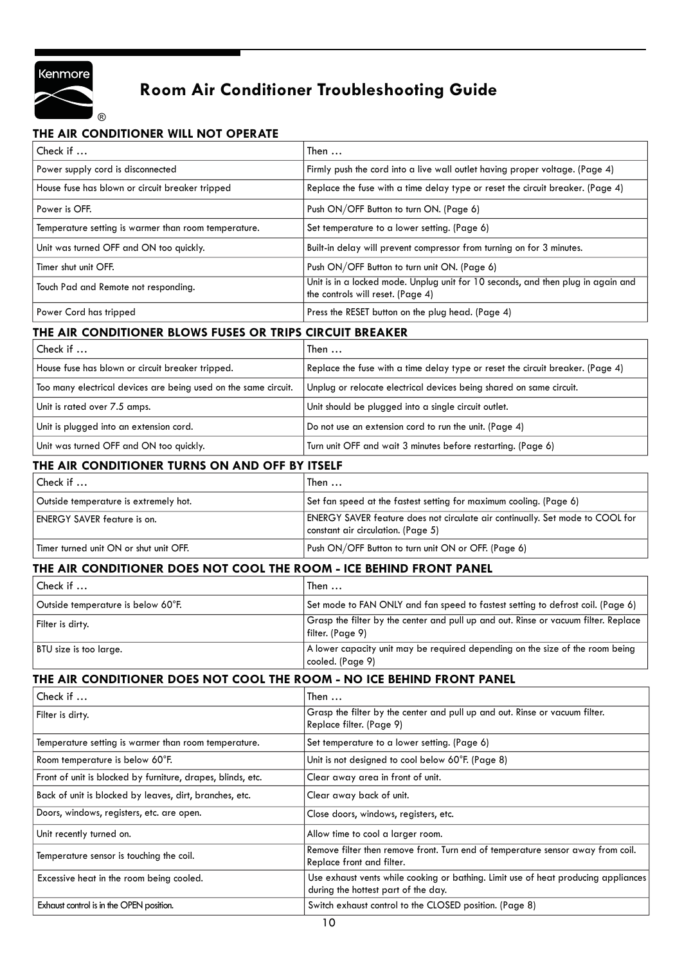

## **Room Air Conditioner Troubleshooting Guide**

#### **THE AIR CONDITIONER WILL NOT OPERATE**

| Check if                                                               | Then                                                                                                                      |  |
|------------------------------------------------------------------------|---------------------------------------------------------------------------------------------------------------------------|--|
| Power supply cord is disconnected                                      | Firmly push the cord into a live wall outlet having proper voltage. (Page 4)                                              |  |
| House fuse has blown or circuit breaker tripped                        | Replace the fuse with a time delay type or reset the circuit breaker. (Page 4)                                            |  |
| Power is OFF.                                                          | Push ON/OFF Button to turn ON. (Page 6)                                                                                   |  |
| Temperature setting is warmer than room temperature.                   | Set temperature to a lower setting. (Page 6)                                                                              |  |
| Unit was turned OFF and ON too quickly.                                | Built-in delay will prevent compressor from turning on for 3 minutes.                                                     |  |
| Timer shut unit OFF.                                                   | Push ON/OFF Button to turn unit ON. (Page 6)                                                                              |  |
| Touch Pad and Remote not responding.                                   | Unit is in a locked mode. Unplug unit for 10 seconds, and then plug in again and<br>the controls will reset. (Page 4)     |  |
| Power Cord has tripped                                                 | Press the RESET button on the plug head. (Page 4)                                                                         |  |
| THE AIR CONDITIONER BLOWS FUSES OR TRIPS CIRCUIT BREAKER               |                                                                                                                           |  |
| Check if                                                               | Then                                                                                                                      |  |
| House fuse has blown or circuit breaker tripped.                       | Replace the fuse with a time delay type or reset the circuit breaker. (Page 4)                                            |  |
| Too many electrical devices are being used on the same circuit.        | Unplug or relocate electrical devices being shared on same circuit.                                                       |  |
| Unit is rated over 7.5 amps.                                           | Unit should be plugged into a single circuit outlet.                                                                      |  |
| Unit is plugged into an extension cord.                                | Do not use an extension cord to run the unit. (Page 4)                                                                    |  |
| Unit was turned OFF and ON too quickly.                                | Turn unit OFF and wait 3 minutes before restarting. (Page 6)                                                              |  |
| THE AIR CONDITIONER TURNS ON AND OFF BY ITSELF                         |                                                                                                                           |  |
| Check if                                                               | Then $\ldots$                                                                                                             |  |
| Outside temperature is extremely hot.                                  | Set fan speed at the fastest setting for maximum cooling. (Page 6)                                                        |  |
| <b>ENERGY SAVER feature is on.</b>                                     | ENERGY SAVER feature does not circulate air continually. Set mode to COOL for<br>constant air circulation. (Page 5)       |  |
| Timer turned unit ON or shut unit OFF.                                 | Push ON/OFF Button to turn unit ON or OFF. (Page 6)                                                                       |  |
| THE AIR CONDITIONER DOES NOT COOL THE ROOM - ICE BEHIND FRONT PANEL    |                                                                                                                           |  |
| Check if                                                               | Then                                                                                                                      |  |
| Outside temperature is below 60°F.                                     | Set mode to FAN ONLY and fan speed to fastest setting to defrost coil. (Page 6)                                           |  |
| Filter is dirty.                                                       | Grasp the filter by the center and pull up and out. Rinse or vacuum filter. Replace<br>filter. (Page 9)                   |  |
| BTU size is too large.                                                 | A lower capacity unit may be required depending on the size of the room being<br>cooled. (Page 9)                         |  |
| THE AIR CONDITIONER DOES NOT COOL THE ROOM - NO ICE BEHIND FRONT PANEL |                                                                                                                           |  |
| Check if                                                               | Then                                                                                                                      |  |
| Filter is dirty.                                                       | Grasp the filter by the center and pull up and out. Rinse or vacuum filter.<br>Replace filter. (Page 9)                   |  |
| Temperature setting is warmer than room temperature.                   | Set temperature to a lower setting. (Page 6)                                                                              |  |
| Room temperature is below 60°F.                                        | Unit is not designed to cool below 60°F. (Page 8)                                                                         |  |
| Front of unit is blocked by furniture, drapes, blinds, etc.            | Clear away area in front of unit.                                                                                         |  |
| Back of unit is blocked by leaves, dirt, branches, etc.                | Clear away back of unit.                                                                                                  |  |
| Doors, windows, registers, etc. are open.                              | Close doors, windows, registers, etc.                                                                                     |  |
| Unit recently turned on.                                               | Allow time to cool a larger room.                                                                                         |  |
| Temperature sensor is touching the coil.                               | Remove filter then remove front. Turn end of temperature sensor away from coil.<br>Replace front and filter.              |  |
| Excessive heat in the room being cooled.                               | Use exhaust vents while cooking or bathing. Limit use of heat producing appliances<br>during the hottest part of the day. |  |
| Exhaust control is in the OPEN position.                               | Switch exhaust control to the CLOSED position. (Page 8)                                                                   |  |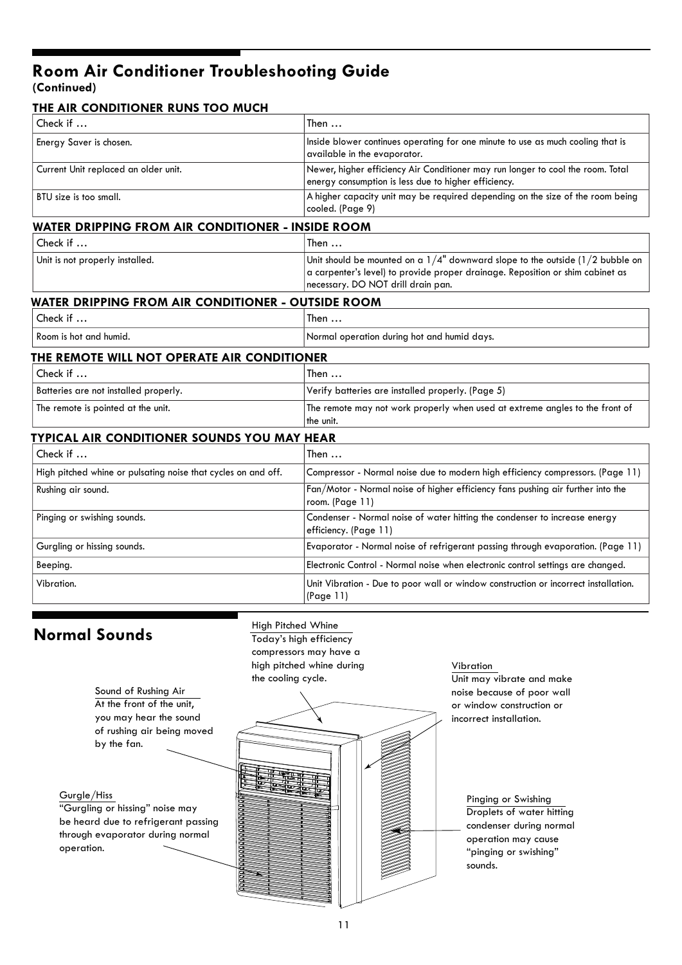## **Room Air Conditioner Troubleshooting Guide**

**(Continued)**

| THE AIR CONDITIONER RUNS TOO MUCH                             |                                                                                                                                                                                                             |  |  |  |
|---------------------------------------------------------------|-------------------------------------------------------------------------------------------------------------------------------------------------------------------------------------------------------------|--|--|--|
| Check if                                                      | Then $\ldots$                                                                                                                                                                                               |  |  |  |
| Energy Saver is chosen.                                       | Inside blower continues operating for one minute to use as much cooling that is<br>available in the evaporator.                                                                                             |  |  |  |
| Current Unit replaced an older unit.                          | Newer, higher efficiency Air Conditioner may run longer to cool the room. Total<br>energy consumption is less due to higher efficiency.                                                                     |  |  |  |
| BTU size is too small.                                        | A higher capacity unit may be required depending on the size of the room being<br>cooled. (Page 9)                                                                                                          |  |  |  |
|                                                               | WATER DRIPPING FROM AIR CONDITIONER - INSIDE ROOM                                                                                                                                                           |  |  |  |
| Check if                                                      | Then                                                                                                                                                                                                        |  |  |  |
| Unit is not properly installed.                               | Unit should be mounted on a $1/4$ " downward slope to the outside ( $1/2$ bubble on<br>a carpenter's level) to provide proper drainage. Reposition or shim cabinet as<br>necessary. DO NOT drill drain pan. |  |  |  |
| WATER DRIPPING FROM AIR CONDITIONER - OUTSIDE ROOM            |                                                                                                                                                                                                             |  |  |  |
| Check if                                                      | Then $\ldots$                                                                                                                                                                                               |  |  |  |
| Room is hot and humid.                                        | Normal operation during hot and humid days.                                                                                                                                                                 |  |  |  |
| THE REMOTE WILL NOT OPERATE AIR CONDITIONER                   |                                                                                                                                                                                                             |  |  |  |
| Check if                                                      | Then $\dots$                                                                                                                                                                                                |  |  |  |
| Batteries are not installed properly.                         | Verify batteries are installed properly. (Page 5)                                                                                                                                                           |  |  |  |
| The remote is pointed at the unit.                            | The remote may not work properly when used at extreme angles to the front of<br>the unit.                                                                                                                   |  |  |  |
| <b>TYPICAL AIR CONDITIONER SOUNDS YOU MAY HEAR</b>            |                                                                                                                                                                                                             |  |  |  |
| Check if                                                      | Then $\ldots$                                                                                                                                                                                               |  |  |  |
| High pitched whine or pulsating noise that cycles on and off. | Compressor - Normal noise due to modern high efficiency compressors. (Page 11)                                                                                                                              |  |  |  |
| Rushing air sound.                                            | Fan/Motor - Normal noise of higher efficiency fans pushing air further into the<br>room. (Page 11)                                                                                                          |  |  |  |
| Pinging or swishing sounds.                                   | Condenser - Normal noise of water hitting the condenser to increase energy<br>efficiency. (Page 11)                                                                                                         |  |  |  |
| Gurgling or hissing sounds.                                   | Evaporator - Normal noise of refrigerant passing through evaporation. (Page 11)                                                                                                                             |  |  |  |
| Beeping.                                                      | Electronic Control - Normal noise when electronic control settings are changed.                                                                                                                             |  |  |  |
| Vibration.                                                    | Unit Vibration - Due to poor wall or window construction or incorrect installation.<br>(Page 11)                                                                                                            |  |  |  |

Gurgle/Hiss

operation.

**Normal Sounds** High Pitched Whine Today's high efficiency compressors may have a high pitched whine during the cooling cycle.



Unit may vibrate and make noise because of poor wall or window construction or incorrect installation. Vibration

> Droplets of water hitting condenser during normal operation may cause "pinging or swishing" sounds. Pinging or Swishing